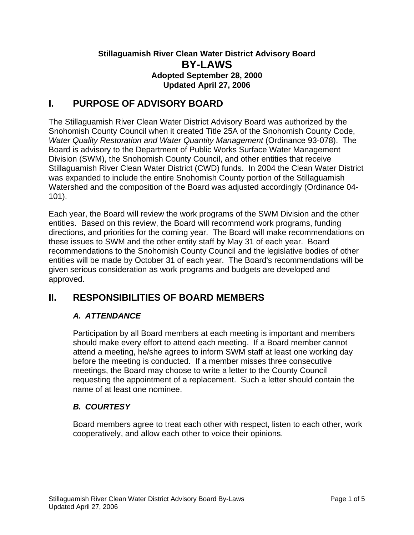## **Stillaguamish River Clean Water District Advisory Board BY-LAWS Adopted September 28, 2000 Updated April 27, 2006**

## **I. PURPOSE OF ADVISORY BOARD**

The Stillaguamish River Clean Water District Advisory Board was authorized by the Snohomish County Council when it created Title 25A of the Snohomish County Code, *Water Quality Restoration and Water Quantity Management (Ordinance 93-078). The* Board is advisory to the Department of Public Works Surface Water Management Division (SWM), the Snohomish County Council, and other entities that receive Stillaguamish River Clean Water District (CWD) funds. In 2004 the Clean Water District was expanded to include the entire Snohomish County portion of the Stillaguamish Watershed and the composition of the Board was adjusted accordingly (Ordinance 04- 101).

Each year, the Board will review the work programs of the SWM Division and the other entities. Based on this review, the Board will recommend work programs, funding directions, and priorities for the coming year. The Board will make recommendations on these issues to SWM and the other entity staff by May 31 of each year. Board recommendations to the Snohomish County Council and the legislative bodies of other entities will be made by October 31 of each year. The Board's recommendations will be given serious consideration as work programs and budgets are developed and approved.

# **II. RESPONSIBILITIES OF BOARD MEMBERS**

### *A. ATTENDANCE*

Participation by all Board members at each meeting is important and members should make every effort to attend each meeting. If a Board member cannot attend a meeting, he/she agrees to inform SWM staff at least one working day before the meeting is conducted. If a member misses three consecutive meetings, the Board may choose to write a letter to the County Council requesting the appointment of a replacement. Such a letter should contain the name of at least one nominee.

### *B. COURTESY*

Board members agree to treat each other with respect, listen to each other, work cooperatively, and allow each other to voice their opinions.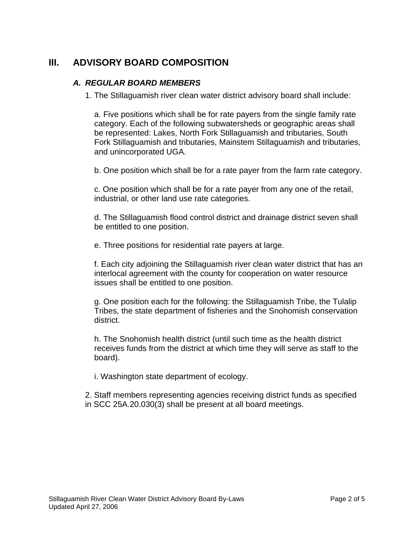## **III. ADVISORY BOARD COMPOSITION**

#### *A. REGULAR BOARD MEMBERS*

1. The Stillaguamish river clean water district advisory board shall include:

a. Five positions which shall be for rate payers from the single family rate category. Each of the following subwatersheds or geographic areas shall be represented: Lakes, North Fork Stillaguamish and tributaries, South Fork Stillaguamish and tributaries, Mainstem Stillaguamish and tributaries, and unincorporated UGA.

b. One position which shall be for a rate payer from the farm rate category.

c. One position which shall be for a rate payer from any one of the retail, industrial, or other land use rate categories.

d. The Stillaguamish flood control district and drainage district seven shall be entitled to one position.

e. Three positions for residential rate payers at large.

f. Each city adjoining the Stillaguamish river clean water district that has an interlocal agreement with the county for cooperation on water resource issues shall be entitled to one position.

g. One position each for the following: the Stillaguamish Tribe, the Tulalip Tribes, the state department of fisheries and the Snohomish conservation district.

h. The Snohomish health district (until such time as the health district receives funds from the district at which time they will serve as staff to the board).

i. Washington state department of ecology.

2. Staff members representing agencies receiving district funds as specified in SCC 25A.20.030(3) shall be present at all board meetings.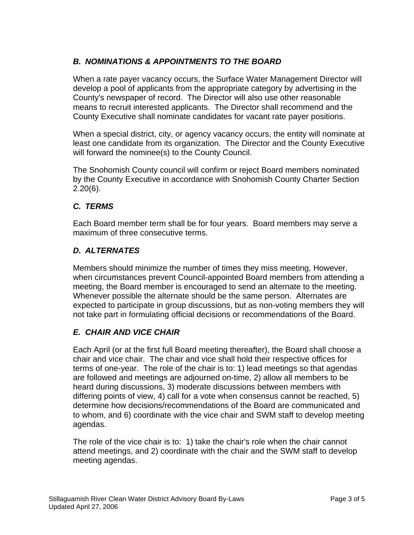### *B. NOMINATIONS & APPOINTMENTS TO THE BOARD*

When a rate payer vacancy occurs, the Surface Water Management Director will develop a pool of applicants from the appropriate category by advertising in the County's newspaper of record. The Director will also use other reasonable means to recruit interested applicants. The Director shall recommend and the County Executive shall nominate candidates for vacant rate payer positions.

When a special district, city, or agency vacancy occurs, the entity will nominate at least one candidate from its organization. The Director and the County Executive will forward the nominee(s) to the County Council.

The Snohomish County council will confirm or reject Board members nominated by the County Executive in accordance with Snohomish County Charter Section 2.20(6).

### *C. TERMS*

Each Board member term shall be for four years. Board members may serve a maximum of three consecutive terms.

### *D. ALTERNATES*

Members should minimize the number of times they miss meeting, However, when circumstances prevent Council-appointed Board members from attending a meeting, the Board member is encouraged to send an alternate to the meeting. Whenever possible the alternate should be the same person. Alternates are expected to participate in group discussions, but as non-voting members they will not take part in formulating official decisions or recommendations of the Board.

### *E. CHAIR AND VICE CHAIR*

Each April (or at the first full Board meeting thereafter), the Board shall choose a chair and vice chair. The chair and vice shall hold their respective offices for terms of one-year. The role of the chair is to: 1) lead meetings so that agendas are followed and meetings are adjourned on-time, 2) allow all members to be heard during discussions, 3) moderate discussions between members with differing points of view, 4) call for a vote when consensus cannot be reached, 5) determine how decisions/recommendations of the Board are communicated and to whom, and 6) coordinate with the vice chair and SWM staff to develop meeting agendas.

The role of the vice chair is to: 1) take the chair's role when the chair cannot attend meetings, and 2) coordinate with the chair and the SWM staff to develop meeting agendas.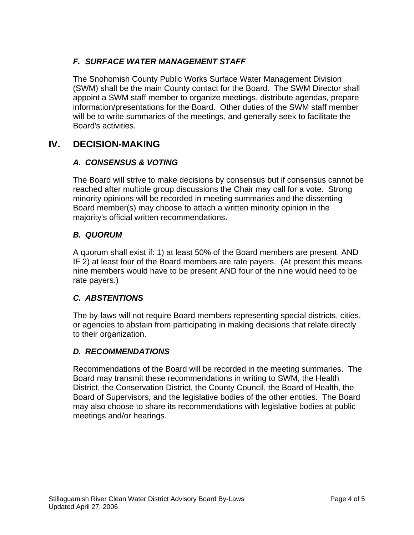### *F. SURFACE WATER MANAGEMENT STAFF*

The Snohomish County Public Works Surface Water Management Division (SWM) shall be the main County contact for the Board. The SWM Director shall appoint a SWM staff member to organize meetings, distribute agendas, prepare information/presentations for the Board. Other duties of the SWM staff member will be to write summaries of the meetings, and generally seek to facilitate the Board's activities.

## **IV. DECISION-MAKING**

#### *A. CONSENSUS & VOTING*

The Board will strive to make decisions by consensus but if consensus cannot be reached after multiple group discussions the Chair may call for a vote. Strong minority opinions will be recorded in meeting summaries and the dissenting Board member(s) may choose to attach a written minority opinion in the majority's official written recommendations.

#### *B. QUORUM*

A quorum shall exist if: 1) at least 50% of the Board members are present, AND IF 2) at least four of the Board members are rate payers. (At present this means nine members would have to be present AND four of the nine would need to be rate payers.)

### *C. ABSTENTIONS*

The by-laws will not require Board members representing special districts, cities, or agencies to abstain from participating in making decisions that relate directly to their organization.

#### *D. RECOMMENDATIONS*

Recommendations of the Board will be recorded in the meeting summaries. The Board may transmit these recommendations in writing to SWM, the Health District, the Conservation District, the County Council, the Board of Health, the Board of Supervisors, and the legislative bodies of the other entities. The Board may also choose to share its recommendations with legislative bodies at public meetings and/or hearings.